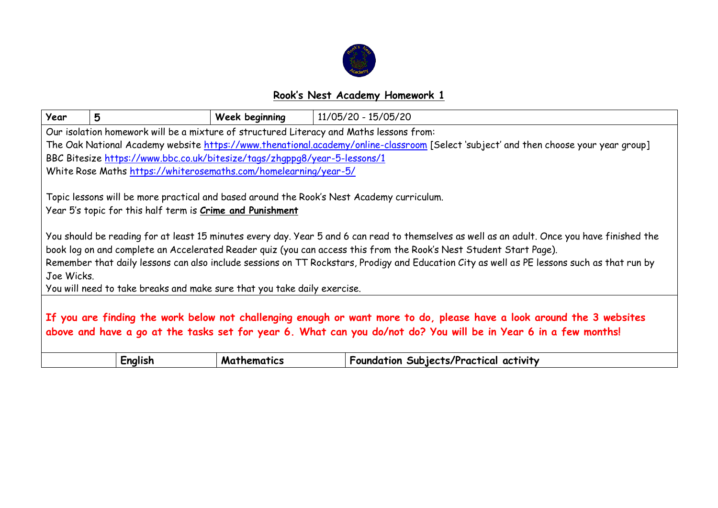

## **Rook's Nest Academy Homework 1**

| Year                                                                                                                                                                                                                                                                                                                                                                                                                            | 5                                                                         | Week beginning | 11/05/20 - 15/05/20                                                                                                                  |
|---------------------------------------------------------------------------------------------------------------------------------------------------------------------------------------------------------------------------------------------------------------------------------------------------------------------------------------------------------------------------------------------------------------------------------|---------------------------------------------------------------------------|----------------|--------------------------------------------------------------------------------------------------------------------------------------|
|                                                                                                                                                                                                                                                                                                                                                                                                                                 |                                                                           |                | Our isolation homework will be a mixture of structured Literacy and Maths lessons from:                                              |
|                                                                                                                                                                                                                                                                                                                                                                                                                                 |                                                                           |                | The Oak National Academy website https://www.thenational.academy/online-classroom [Select 'subject' and then choose your year group] |
|                                                                                                                                                                                                                                                                                                                                                                                                                                 | BBC Bitesize https://www.bbc.co.uk/bitesize/tags/zhqppq8/year-5-lessons/1 |                |                                                                                                                                      |
|                                                                                                                                                                                                                                                                                                                                                                                                                                 | White Rose Maths https://whiterosemaths.com/homelearning/year-5/          |                |                                                                                                                                      |
| Topic lessons will be more practical and based around the Rook's Nest Academy curriculum.<br>Year 5's topic for this half term is Crime and Punishment                                                                                                                                                                                                                                                                          |                                                                           |                |                                                                                                                                      |
| You should be reading for at least 15 minutes every day. Year 5 and 6 can read to themselves as well as an adult. Once you have finished the<br>book log on and complete an Accelerated Reader quiz (you can access this from the Rook's Nest Student Start Page).<br>Remember that daily lessons can also include sessions on TT Rockstars, Prodigy and Education City as well as PE lessons such as that run by<br>Joe Wicks. |                                                                           |                |                                                                                                                                      |
| You will need to take breaks and make sure that you take daily exercise.                                                                                                                                                                                                                                                                                                                                                        |                                                                           |                |                                                                                                                                      |
| If you are finding the work below not challenging enough or want more to do, please have a look around the 3 websites<br>above and have a go at the tasks set for year 6. What can you do/not do? You will be in Year 6 in a few months!                                                                                                                                                                                        |                                                                           |                |                                                                                                                                      |
|                                                                                                                                                                                                                                                                                                                                                                                                                                 | English                                                                   | Mathematics    | Foundation Subjects/Practical activity                                                                                               |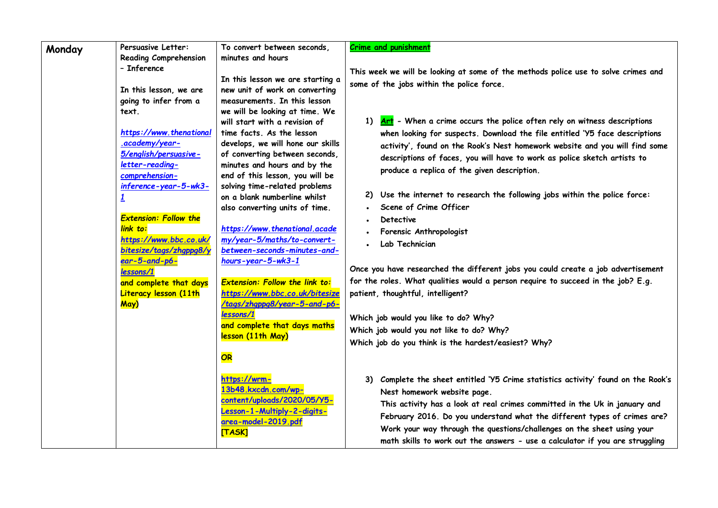| Monday | Persuasive Letter:                | To convert between seconds.                                   | <b>Crime and punishment</b>                                                          |
|--------|-----------------------------------|---------------------------------------------------------------|--------------------------------------------------------------------------------------|
|        | <b>Reading Comprehension</b>      | minutes and hours                                             |                                                                                      |
|        | - Inference                       |                                                               | This week we will be looking at some of the methods police use to solve crimes and   |
|        |                                   | In this lesson we are starting a                              | some of the jobs within the police force.                                            |
|        | In this lesson, we are            | new unit of work on converting                                |                                                                                      |
|        | going to infer from a             | measurements. In this lesson                                  |                                                                                      |
|        | text.                             | we will be looking at time. We                                |                                                                                      |
|        |                                   | will start with a revision of                                 | 1) Art - When a crime occurs the police often rely on witness descriptions           |
|        | https://www.thenational           | time facts. As the lesson                                     | when looking for suspects. Download the file entitled 'Y5 face descriptions          |
|        | .academy/year-                    | develops, we will hone our skills                             | activity', found on the Rook's Nest homework website and you will find some          |
|        | 5/english/persuasive-             | of converting between seconds,                                | descriptions of faces, you will have to work as police sketch artists to             |
|        | letter-reading-<br>comprehension- | minutes and hours and by the                                  | produce a replica of the given description.                                          |
|        | inference-year-5-wk3-             | end of this lesson, you will be                               |                                                                                      |
|        |                                   | solving time-related problems<br>on a blank numberline whilst | Use the internet to research the following jobs within the police force:<br>2)       |
|        |                                   | also converting units of time.                                | Scene of Crime Officer                                                               |
|        | <b>Extension: Follow the</b>      |                                                               | Detective                                                                            |
|        | link to:                          | https://www.thenational.acade                                 |                                                                                      |
|        | https://www.bbc.co.uk/            | my/year-5/maths/to-convert-                                   | Forensic Anthropologist                                                              |
|        | bitesize/tags/zhqppg8/y           | between-seconds-minutes-and-                                  | Lab Technician                                                                       |
|        | ear-5-and-p6-                     | hours-year-5-wk3-1                                            |                                                                                      |
|        | lessons/1                         |                                                               | Once you have researched the different jobs you could create a job advertisement     |
|        | and complete that days            | <b>Extension: Follow the link to:</b>                         | for the roles. What qualities would a person require to succeed in the job? E.g.     |
|        | Literacy lesson (11th             | https://www.bbc.co.uk/bitesize                                | patient, thoughtful, intelligent?                                                    |
|        | May)                              | /tags/zhgppg8/year-5-and-p6-                                  |                                                                                      |
|        |                                   | lessons/1                                                     | Which job would you like to do? Why?                                                 |
|        |                                   | and complete that days maths                                  | Which job would you not like to do? Why?                                             |
|        |                                   | lesson (11th May)                                             | Which job do you think is the hardest/easiest? Why?                                  |
|        |                                   |                                                               |                                                                                      |
|        |                                   | OR                                                            |                                                                                      |
|        |                                   | https://wrm-                                                  | Complete the sheet entitled 'Y5 Crime statistics activity' found on the Rook's<br>3) |
|        |                                   | 13b48.kxcdn.com/wp-                                           | Nest homework website page.                                                          |
|        |                                   | content/uploads/2020/05/Y5-                                   |                                                                                      |
|        |                                   | Lesson-1-Multiply-2-digits-                                   | This activity has a look at real crimes committed in the Uk in january and           |
|        |                                   | area-model-2019.pdf                                           | February 2016. Do you understand what the different types of crimes are?             |
|        |                                   | [TASK]                                                        | Work your way through the questions/challenges on the sheet using your               |
|        |                                   |                                                               | math skills to work out the answers - use a calculator if you are struggling         |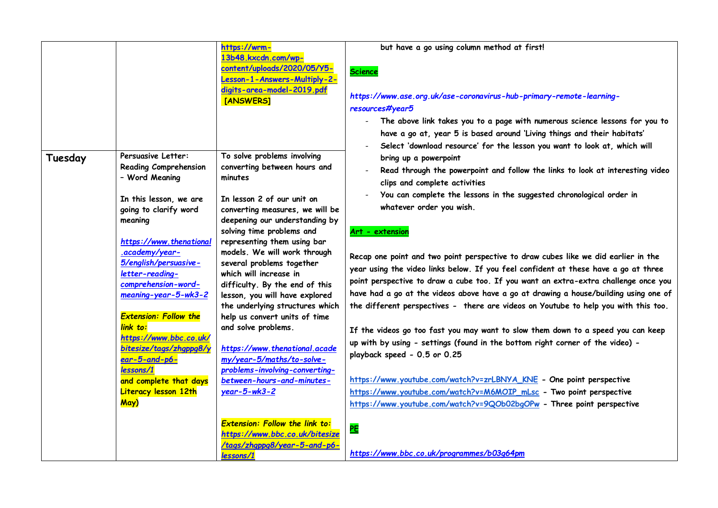|         |                                         | https://wrm-                                        | but have a go using column method at first!                                          |
|---------|-----------------------------------------|-----------------------------------------------------|--------------------------------------------------------------------------------------|
|         |                                         | 13b48.kxcdn.com/wp-                                 |                                                                                      |
|         |                                         | content/uploads/2020/05/Y5-                         | <b>Science</b>                                                                       |
|         |                                         | Lesson-1-Answers-Multiply-2-                        |                                                                                      |
|         |                                         | digits-area-model-2019.pdf                          |                                                                                      |
|         |                                         | [ANSWERS]                                           | https://www.ase.org.uk/ase-coronavirus-hub-primary-remote-learning-                  |
|         |                                         |                                                     | resources#year5                                                                      |
|         |                                         |                                                     | The above link takes you to a page with numerous science lessons for you to          |
|         |                                         |                                                     | have a go at, year 5 is based around 'Living things and their habitats'              |
|         |                                         |                                                     | Select 'download resource' for the lesson you want to look at, which will            |
| Tuesday | Persuasive Letter:                      | To solve problems involving                         | bring up a powerpoint                                                                |
|         | <b>Reading Comprehension</b>            | converting between hours and                        | Read through the powerpoint and follow the links to look at interesting video        |
|         | - Word Meaning                          | minutes                                             | clips and complete activities                                                        |
|         |                                         |                                                     |                                                                                      |
|         | In this lesson, we are                  | In lesson 2 of our unit on                          | You can complete the lessons in the suggested chronological order in                 |
|         | going to clarify word                   | converting measures, we will be                     | whatever order you wish.                                                             |
|         | meaning                                 | deepening our understanding by                      |                                                                                      |
|         |                                         | solving time problems and                           | Art - extension                                                                      |
|         | https://www.thenational                 | representing them using bar                         |                                                                                      |
|         | .academy/year-<br>5/english/persuasive- | models. We will work through                        | Recap one point and two point perspective to draw cubes like we did earlier in the   |
|         | letter-reading-                         | several problems together<br>which will increase in | year using the video links below. If you feel confident at these have a go at three  |
|         | comprehension-word-                     | difficulty. By the end of this                      | point perspective to draw a cube too. If you want an extra-extra challenge once you  |
|         | meaning-year-5-wk3-2                    | lesson, you will have explored                      | have had a go at the videos above have a go at drawing a house/building using one of |
|         |                                         | the underlying structures which                     | the different perspectives - there are videos on Youtube to help you with this too.  |
|         | <b>Extension: Follow the</b>            | help us convert units of time                       |                                                                                      |
|         | link to:                                | and solve problems.                                 |                                                                                      |
|         | https://www.bbc.co.uk/                  |                                                     | If the videos go too fast you may want to slow them down to a speed you can keep     |
|         | bitesize/tags/zhgppg8/y                 | https://www.thenational.acade                       | up with by using - settings (found in the bottom right corner of the video) -        |
|         | $ear-5$ -and-p6-                        | my/year-5/maths/to-solve-                           | playback speed - 0.5 or 0.25                                                         |
|         | lessons/1                               | problems-involving-converting-                      |                                                                                      |
|         | and complete that days                  | between-hours-and-minutes-                          | https://www.youtube.com/watch?v=zrLBNYA_KNE - One point perspective                  |
|         | <b>Literacy lesson 12th</b>             | $year-5-wk3-2$                                      | https://www.youtube.com/watch?v=M6MOIP_mLsc - Two point perspective                  |
|         | May)                                    |                                                     | https://www.youtube.com/watch?v=9QOb02bgOPw - Three point perspective                |
|         |                                         | <b>Extension: Follow the link to:</b>               | PE                                                                                   |
|         |                                         | https://www.bbc.co.uk/bitesize                      |                                                                                      |
|         |                                         | /tags/zhgppg8/year-5-and-p6-                        | https://www.bbc.co.uk/programmes/b03g64pm                                            |
|         |                                         | lessons/1                                           |                                                                                      |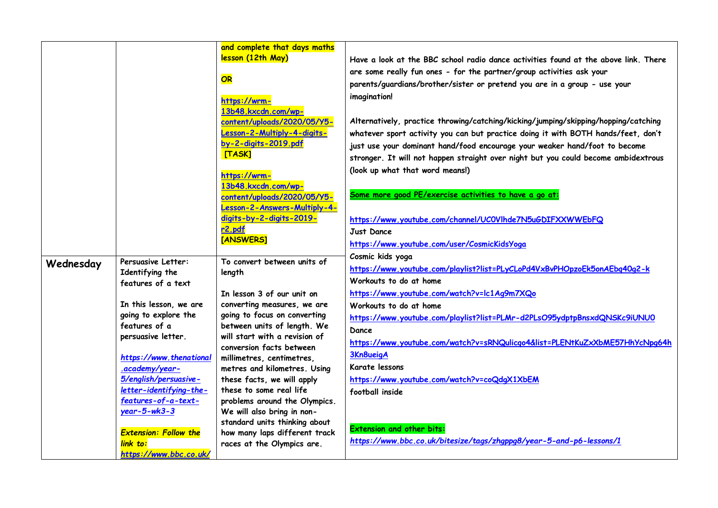|           |                                                                 | and complete that days maths                                |                                                                                         |
|-----------|-----------------------------------------------------------------|-------------------------------------------------------------|-----------------------------------------------------------------------------------------|
|           |                                                                 | lesson (12th May)                                           | Have a look at the BBC school radio dance activities found at the above link. There     |
|           |                                                                 |                                                             | are some really fun ones - for the partner/group activities ask your                    |
|           |                                                                 | OR                                                          | parents/guardians/brother/sister or pretend you are in a group - use your               |
|           |                                                                 |                                                             | imagination!                                                                            |
|           |                                                                 | https://wrm-<br>13b48.kxcdn.com/wp-                         |                                                                                         |
|           |                                                                 | content/uploads/2020/05/Y5-                                 | Alternatively, practice throwing/catching/kicking/jumping/skipping/hopping/catching     |
|           |                                                                 | Lesson-2-Multiply-4-digits-                                 | whatever sport activity you can but practice doing it with BOTH hands/feet, don't       |
|           |                                                                 | by-2-digits-2019.pdf                                        | just use your dominant hand/food encourage your weaker hand/foot to become              |
|           |                                                                 | [TASK]                                                      | stronger. It will not happen straight over night but you could become ambidextrous      |
|           |                                                                 |                                                             | (look up what that word means!)                                                         |
|           |                                                                 | https://wrm-                                                |                                                                                         |
|           |                                                                 | 13b48.kxcdn.com/wp-                                         | Some more good PE/exercise activities to have a go at:                                  |
|           |                                                                 | content/uploads/2020/05/Y5-<br>Lesson-2-Answers-Multiply-4- |                                                                                         |
|           |                                                                 | digits-by-2-digits-2019-                                    | https://www.youtube.com/channel/UCOVIhde7N5uGDIFXXWWEbFQ                                |
|           |                                                                 | r <sub>2.pdf</sub>                                          | Just Dance                                                                              |
|           |                                                                 | [ANSWERS]                                                   | https://www.youtube.com/user/CosmicKidsYoga                                             |
|           |                                                                 |                                                             | Cosmic kids yoga                                                                        |
| Wednesday | Persuasive Letter:                                              | To convert between units of                                 | https://www.youtube.com/playlist?list=PLyCLoPd4VxBvPHOpzoEk5onAEbq40g2-k                |
|           | Identifying the<br>features of a text<br>In this lesson, we are | length                                                      | Workouts to do at home                                                                  |
|           |                                                                 | In lesson 3 of our unit on                                  | https://www.youtube.com/watch?v=lc1Ag9m7XQo                                             |
|           |                                                                 | converting measures, we are                                 | Workouts to do at home                                                                  |
|           | going to explore the                                            | going to focus on converting                                |                                                                                         |
|           | features of a                                                   | between units of length. We                                 | https://www.youtube.com/playlist?list=PLMr-d2PLsO95ydptpBnsxdQNSKc9iUNU0                |
|           | persuasive letter.                                              | will start with a revision of                               | Dance                                                                                   |
|           |                                                                 | conversion facts between                                    | https://www.youtube.com/watch?v=sRNQulicqo4&list=PLENtKuZxXbME57HhYcNpq64h<br>3Kn8ueigA |
|           | https://www.thenational                                         | millimetres, centimetres,                                   |                                                                                         |
|           | .academy/year-                                                  | metres and kilometres. Using                                | Karate lessons                                                                          |
|           | 5/english/persuasive-<br>letter-identifying-the-                | these facts, we will apply<br>these to some real life       | https://www.youtube.com/watch?v=coQdgX1XbEM                                             |
|           | features-of-a-text-                                             | problems around the Olympics.                               | football inside                                                                         |
|           | $year - 5 - wk3 - 3$                                            | We will also bring in non-                                  |                                                                                         |
|           |                                                                 | standard units thinking about                               |                                                                                         |
|           | <b>Extension: Follow the</b>                                    | how many laps different track                               | <b>Extension and other bits:</b>                                                        |
|           | link to:                                                        | races at the Olympics are.                                  | https://www.bbc.co.uk/bitesize/tags/zhgppg8/year-5-and-p6-lessons/1                     |
|           | https://www.bbc.co.uk/                                          |                                                             |                                                                                         |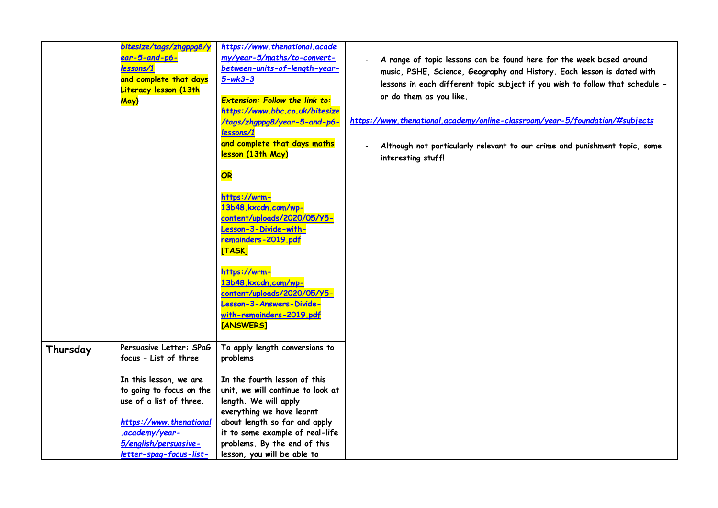|          | bitesize/tags/zhgppg8/y<br>$ear-5$ -and-p6-<br>lessons/1<br>and complete that days<br>Literacy lesson (13th<br>May)                                                                                                                       | https://www.thenational.acade<br>my/year-5/maths/to-convert-<br>between-units-of-length-year-<br>$5 - wk3 - 3$<br><b>Extension: Follow the link to:</b><br>https://www.bbc.co.uk/bitesize<br><mark>tags/zhgppg8/year-5-and-p6-</mark><br>lessons/1<br>and complete that days maths<br>lesson (13th May)  | A range of topic lessons can be found here for the week based around<br>music, PSHE, Science, Geography and History. Each lesson is dated with<br>lessons in each different topic subject if you wish to follow that schedule -<br>or do them as you like.<br>https://www.thenational.academy/online-classroom/year-5/foundation/#subjects<br>Although not particularly relevant to our crime and punishment topic, some<br>interesting stuff! |
|----------|-------------------------------------------------------------------------------------------------------------------------------------------------------------------------------------------------------------------------------------------|----------------------------------------------------------------------------------------------------------------------------------------------------------------------------------------------------------------------------------------------------------------------------------------------------------|------------------------------------------------------------------------------------------------------------------------------------------------------------------------------------------------------------------------------------------------------------------------------------------------------------------------------------------------------------------------------------------------------------------------------------------------|
|          |                                                                                                                                                                                                                                           | OR<br>https://wrm-<br>13b48.kxcdn.com/wp-<br>content/uploads/2020/05/Y5-<br>Lesson-3-Divide-with-<br>remainders-2019.pdf<br><b>[TASK]</b>                                                                                                                                                                |                                                                                                                                                                                                                                                                                                                                                                                                                                                |
|          |                                                                                                                                                                                                                                           | https://wrm-<br>13b48.kxcdn.com/wp-<br>content/uploads/2020/05/Y5-<br>Lesson-3-Answers-Divide-<br>with-remainders-2019.pdf<br>[ANSWERS]                                                                                                                                                                  |                                                                                                                                                                                                                                                                                                                                                                                                                                                |
| Thursday | Persuasive Letter: SPaG<br>focus - List of three<br>In this lesson, we are<br>to going to focus on the<br>use of a list of three.<br>https://www.thenational<br>.academy/year-<br>5/english/persuasive-<br><u>letter-spag-focus-list-</u> | To apply length conversions to<br>problems<br>In the fourth lesson of this<br>unit, we will continue to look at<br>length. We will apply<br>everything we have learnt<br>about length so far and apply<br>it to some example of real-life<br>problems. By the end of this<br>lesson, you will be able to |                                                                                                                                                                                                                                                                                                                                                                                                                                                |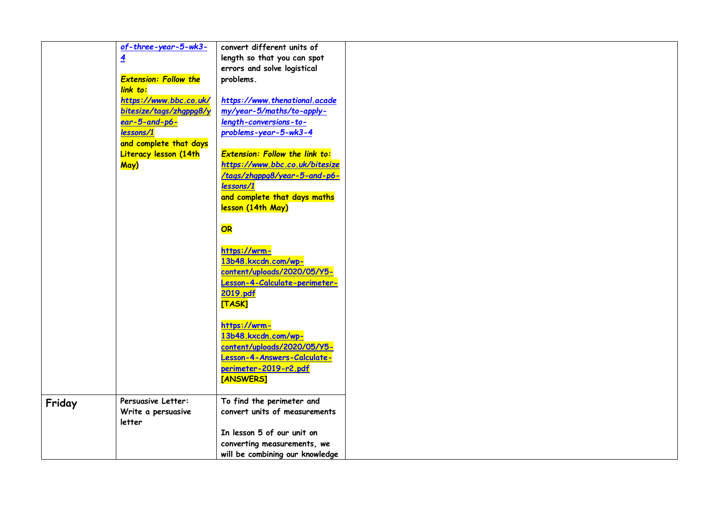|        | $of$ -three-year-5-wk3-      | convert different units of                                 |
|--------|------------------------------|------------------------------------------------------------|
|        | $\overline{4}$               | length so that you can spot                                |
|        |                              | errors and solve logistical                                |
|        | <b>Extension: Follow the</b> | problems.                                                  |
|        | link to:                     |                                                            |
|        | https://www.bbc.co.uk/       | https://www.thenational.acade                              |
|        | bitesize/tags/zhgppg8/y      | my/year-5/maths/to-apply-                                  |
|        | ear-5-and-p6-                | length-conversions-to-                                     |
|        | lessons/1                    | problems-year-5-wk3-4                                      |
|        | and complete that days       |                                                            |
|        | Literacy lesson (14th        | <b>Extension: Follow the link to:</b>                      |
|        | May)                         | https://www.bbc.co.uk/bitesize                             |
|        |                              | /tags/zhgppg8/year-5-and-p6-                               |
|        |                              | lessons/1                                                  |
|        |                              | and complete that days maths                               |
|        |                              | lesson (14th May)                                          |
|        |                              |                                                            |
|        |                              | OR                                                         |
|        |                              |                                                            |
|        |                              | https://wrm-                                               |
|        |                              | 13b48.kxcdn.com/wp-                                        |
|        |                              | content/uploads/2020/05/Y5-                                |
|        |                              | Lesson-4-Calculate-perimeter-                              |
|        |                              | 2019.pdf                                                   |
|        |                              | [TASK]                                                     |
|        |                              |                                                            |
|        |                              | https://wrm-                                               |
|        |                              | 13b48.kxcdn.com/wp-<br>content/uploads/2020/05/Y5-         |
|        |                              | Lesson-4-Answers-Calculate-                                |
|        |                              |                                                            |
|        |                              | perimeter-2019-r2.pdf                                      |
|        |                              | [ANSWERS]                                                  |
|        |                              |                                                            |
| Friday | Persuasive Letter:           | To find the perimeter and<br>convert units of measurements |
|        | Write a persuasive           |                                                            |
|        | letter                       | In lesson 5 of our unit on                                 |
|        |                              |                                                            |
|        |                              | converting measurements, we                                |
|        |                              | will be combining our knowledge                            |